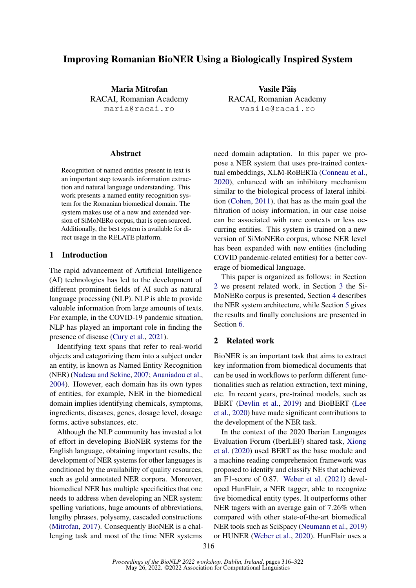# Improving Romanian BioNER Using a Biologically Inspired System

Maria Mitrofan RACAI, Romanian Academy maria@racai.ro

#### Abstract

Recognition of named entities present in text is an important step towards information extraction and natural language understanding. This work presents a named entity recognition system for the Romanian biomedical domain. The system makes use of a new and extended version of SiMoNERo corpus, that is open sourced. Additionally, the best system is available for direct usage in the RELATE platform.

### 1 Introduction

The rapid advancement of Artificial Intelligence (AI) technologies has led to the development of different prominent fields of AI such as natural language processing (NLP). NLP is able to provide valuable information from large amounts of texts. For example, in the COVID-19 pandemic situation, NLP has played an important role in finding the presence of disease [\(Cury et al.,](#page-5-0) [2021\)](#page-5-0).

Identifying text spans that refer to real-world objects and categorizing them into a subject under an entity, is known as Named Entity Recognition (NER) [\(Nadeau and Sekine,](#page-5-1) [2007;](#page-5-1) [Ananiadou et al.,](#page-4-0) [2004\)](#page-4-0). However, each domain has its own types of entities, for example, NER in the biomedical domain implies identifying chemicals, symptoms, ingredients, diseases, genes, dosage level, dosage forms, active substances, etc.

Although the NLP community has invested a lot of effort in developing BioNER systems for the English language, obtaining important results, the development of NER systems for other languages is conditioned by the availability of quality resources, such as gold annotated NER corpora. Moreover, biomedical NER has multiple specificities that one needs to address when developing an NER system: spelling variations, huge amounts of abbreviations, lengthy phrases, polysemy, cascaded constructions [\(Mitrofan,](#page-5-2) [2017\)](#page-5-2). Consequently BioNER is a challenging task and most of the time NER systems

Vasile Păis RACAI, Romanian Academy vasile@racai.ro

need domain adaptation. In this paper we propose a NER system that uses pre-trained contextual embeddings, XLM-RoBERTa [\(Conneau et al.,](#page-4-1) [2020\)](#page-4-1), enhanced with an inhibitory mechanism similar to the biological process of lateral inhibition [\(Cohen,](#page-4-2) [2011\)](#page-4-2), that has as the main goal the filtration of noisy information, in our case noise can be associated with rare contexts or less occurring entities. This system is trained on a new version of SiMoNERo corpus, whose NER level has been expanded with new entities (including COVID pandemic-related entities) for a better coverage of biomedical language.

This paper is organized as follows: in Section [2](#page-0-0) we present related work, in Section [3](#page-1-0) the Si-MoNERo corpus is presented, Section [4](#page-2-0) describes the NER system architecture, while Section [5](#page-3-0) gives the results and finally conclusions are presented in Section [6.](#page-4-3)

### <span id="page-0-0"></span>2 Related work

BioNER is an important task that aims to extract key information from biomedical documents that can be used in workflows to perform different functionalities such as relation extraction, text mining, etc. In recent years, pre-trained models, such as BERT [\(Devlin et al.,](#page-5-3) [2019\)](#page-5-3) and BioBERT [\(Lee](#page-5-4) [et al.,](#page-5-4) [2020\)](#page-5-4) have made significant contributions to the development of the NER task.

In the context of the 2020 Iberian Languages Evaluation Forum (IberLEF) shared task, [Xiong](#page-6-0) [et al.](#page-6-0) [\(2020\)](#page-6-0) used BERT as the base module and a machine reading comprehension framework was proposed to identify and classify NEs that achieved an F1-score of 0.87. [Weber et al.](#page-6-1) [\(2021\)](#page-6-1) developed HunFlair, a NER tagger, able to recognize five biomedical entity types. It outperforms other NER tagers with an average gain of 7.26% when compared with other state-of-the-art biomedical NER tools such as SciSpacy [\(Neumann et al.,](#page-5-5) [2019\)](#page-5-5) or HUNER [\(Weber et al.,](#page-6-2) [2020\)](#page-6-2). HunFlair uses a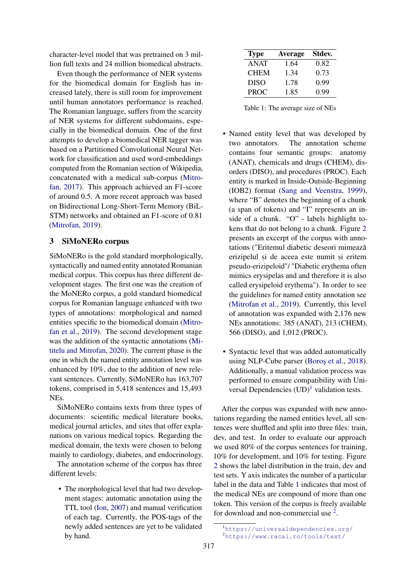character-level model that was pretrained on 3 million full texts and 24 million biomedical abstracts.

Even though the performance of NER systems for the biomedical domain for English has increased lately, there is still room for improvement until human annotators performance is reached. The Romanian language, suffers from the scarcity of NER systems for different subdomains, especially in the biomedical domain. One of the first attempts to develop a biomedical NER tagger was based on a Partitioned Convolutional Neural Network for classification and used word-embeddings computed from the Romanian section of Wikipedia, concatenated with a medical sub-corpus [\(Mitro](#page-5-2)[fan,](#page-5-2) [2017\)](#page-5-2). This approach achieved an F1-score of around 0.5. A more recent approach was based on Bidirectional Long-Short-Term Memory (BiL-STM) networks and obtained an F1-score of 0.81 [\(Mitrofan,](#page-5-6) [2019\)](#page-5-6).

# <span id="page-1-0"></span>3 SiMoNERo corpus

SiMoNERo is the gold standard morphologically, syntactically and named entity annotated Romanian medical corpus. This corpus has three different development stages. The first one was the creation of the MoNERo corpus, a gold standard biomedical corpus for Romanian language enhanced with two types of annotations: morphological and named entities specific to the biomedical domain [\(Mitro](#page-5-7)[fan et al.,](#page-5-7) [2019\)](#page-5-7). The second development stage was the addition of the syntactic annotations [\(Mi](#page-5-8)[titelu and Mitrofan,](#page-5-8) [2020\)](#page-5-8). The current phase is the one in which the named entity annotation level was enhanced by 10%, due to the addition of new relevant sentences. Currently, SiMoNERo has 163,707 tokens, comprised in 5,418 sentences and 15,493 NEs.

SiMoNERo contains texts from three types of documents: scientific medical literature books, medical journal articles, and sites that offer explanations on various medical topics. Regarding the medical domain, the texts were chosen to belong mainly to cardiology, diabetes, and endocrinology.

The annotation scheme of the corpus has three different levels:

• The morphological level that had two development stages: automatic annotation using the TTL tool [\(Ion,](#page-5-9) [2007\)](#page-5-9) and manual verification of each tag. Currently, the POS-tags of the newly added sentences are yet to be validated by hand.

<span id="page-1-2"></span>

| <b>Type</b> | <b>Average</b> | Stdev. |
|-------------|----------------|--------|
| <b>ANAT</b> | 1.64           | 0.82   |
| <b>CHEM</b> | 1.34           | 0.73   |
| <b>DISO</b> | 1.78           | 0.99   |
| <b>PROC</b> | 1.85           | 0.99   |

Table 1: The average size of NEs

- Named entity level that was developed by two annotators. The annotation scheme contains four semantic groups: anatomy (ANAT), chemicals and drugs (CHEM), disorders (DISO), and procedures (PROC). Each entity is marked in Inside-Outside-Beginning (IOB2) format [\(Sang and Veenstra,](#page-6-3) [1999\)](#page-6-3), where "B" denotes the beginning of a chunk (a span of tokens) and "I" represents an inside of a chunk. "O" - labels highlight tokens that do not belong to a chunk. Figure [2](#page-2-1) presents an excerpt of the corpus with annotations ("Eritemul diabetic deseori mimează erizipelul și de aceea este numit și eritem pseudo-erizipeloid"/ "Diabetic erythema often mimics erysipelas and and therefore it is also called erysipeloid erythema"). In order to see the guidelines for named entity annotation see [\(Mitrofan et al.,](#page-5-7) [2019\)](#page-5-7). Currently, this level of annotation was expanded with 2,176 new NEs annotations: 385 (ANAT), 213 (CHEM), 566 (DISO), and 1,012 (PROC).
- Syntactic level that was added automatically using NLP-Cube parser (Boroş et al., [2018\)](#page-4-4). Additionally, a manual validation process was performed to ensure compatibility with Universal Dependencies  $(UD)^1$  $(UD)^1$  validation tests.

After the corpus was expanded with new annotations regarding the named entities level, all sentences were shuffled and split into three files: train, dev, and test. In order to evaluate our approach we used 80% of the corpus sentences for training, 10% for development, and 10% for testing. Figure [2](#page-2-1) shows the label distribution in the train, dev and test sets. Y axis indicates the number of a particular label in the data and Table [1](#page-1-2) indicates that most of the medical NEs are compound of more than one token. This version of the corpus is freely available for download and non-commercial use <sup>[2](#page-1-3)</sup>.

<span id="page-1-3"></span><span id="page-1-1"></span><sup>1</sup><https://universaldependencies.org/> <sup>2</sup><https://www.racai.ro/tools/text/>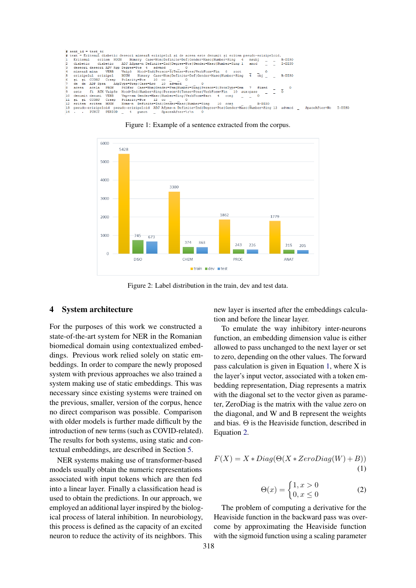| $#$ sent id = test 46                                                                                                                 |
|---------------------------------------------------------------------------------------------------------------------------------------|
| # text = Eritemul diabetic deseori mimează erizipelul si de aceea este denumit si eritem pseudo-erizipeloid.                          |
| 1 Eritemul eritem NOUN Nomsrv Case=Nom Definite=Def Gender=Masc Number=Sing 4 nsubj<br>B-DISO                                         |
| diabetic ADJ Afpms-n Definite=Ind Degree=Pos Gender=Masc Number=Sing 1 amod<br>$I-DISO$<br>2 diabetic                                 |
| 3 deseori deseori ADV Rgp Degree=Pos 4 advmod 60                                                                                      |
| 4 mimează mima                                                                                                                        |
| 5 erizipelul erizipel NOUN Ncmsry Case=Nom Definite=Def Gender=Masc Number=Sing 4 obj<br>B-DISO                                       |
| 6 si si CCONJ Crssp Polarity=Pos 10 cc 0                                                                                              |
| 7 de de ADP-Spsa - AdpTvpe=PrepICase=Acc - 10 advmod - 0                                                                              |
| Pd3fsr Case=Nom Gender=Fem Number=Sing Person=3 PronType=Dem 7 fixed _ _<br>8 aceea acela PRON                                        |
| 9 este fi AUX Vaip3s Mood=Ind Number=Sing Person=3 Tense=Pres VerbForm=Fin 10 aux:pass                                                |
|                                                                                                                                       |
| 11 si si CCONJ Crssp Polaritv=Pos 12 cc 0                                                                                             |
| 12 eritem eritem NOUN Noms-n Definite=Ind Gender=Masc Number=Sing 10 conj<br>B-DISO                                                   |
| 13 pseudo-erizipeloid pseudo-erizipeloid ADJ Afpms-n Definite=Ind Degree=Pos Gender=Masc Number=Sing 12 advmod<br>SpaceAfter=No I-DIS |
| PUNCT PERIOD 4 punct SpacesAfter= $\rceil r \ln$<br>$\circ$<br>$14 \cdot \cdot \cdot$                                                 |
|                                                                                                                                       |

Figure 1: Example of a sentence extracted from the corpus.

<span id="page-2-1"></span>

Figure 2: Label distribution in the train, dev and test data.

# <span id="page-2-0"></span>4 System architecture

For the purposes of this work we constructed a state-of-the-art system for NER in the Romanian biomedical domain using contextualized embeddings. Previous work relied solely on static embeddings. In order to compare the newly proposed system with previous approaches we also trained a system making use of static embeddings. This was necessary since existing systems were trained on the previous, smaller, version of the corpus, hence no direct comparison was possible. Comparison with older models is further made difficult by the introduction of new terms (such as COVID-related). The results for both systems, using static and contextual embeddings, are described in Section [5.](#page-3-0)

NER systems making use of transformer-based models usually obtain the numeric representations associated with input tokens which are then fed into a linear layer. Finally a classification head is used to obtain the predictions. In our approach, we employed an additional layer inspired by the biological process of lateral inhibition. In neurobiology, this process is defined as the capacity of an excited neuron to reduce the activity of its neighbors. This

new layer is inserted after the embeddings calculation and before the linear layer.

To emulate the way inhibitory inter-neurons function, an embedding dimension value is either allowed to pass unchanged to the next layer or set to zero, depending on the other values. The forward pass calculation is given in Equation [1,](#page-2-2) where X is the layer's input vector, associated with a token embedding representation, Diag represents a matrix with the diagonal set to the vector given as parameter, ZeroDiag is the matrix with the value zero on the diagonal, and W and B represent the weights and bias. Θ is the Heaviside function, described in Equation [2.](#page-2-3)

<span id="page-2-3"></span><span id="page-2-2"></span>
$$
F(X) = X * Diag(\Theta(X * ZeroDiag(W) + B))
$$
\n(1)

$$
\Theta(x) = \begin{cases} 1, x > 0 \\ 0, x \le 0 \end{cases}
$$
 (2)

The problem of computing a derivative for the Heaviside function in the backward pass was overcome by approximating the Heaviside function with the sigmoid function using a scaling parameter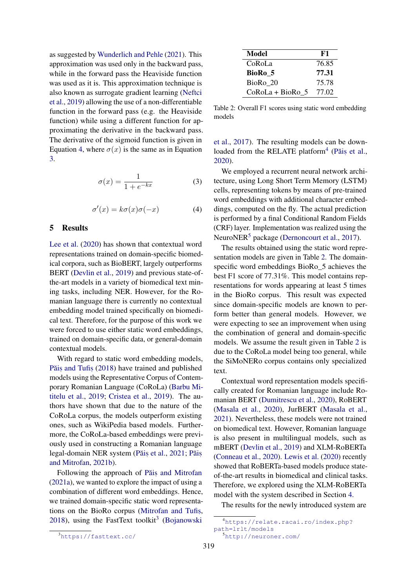as suggested by [Wunderlich and Pehle](#page-6-4) [\(2021\)](#page-6-4). This approximation was used only in the backward pass, while in the forward pass the Heaviside function was used as it is. This approximation technique is also known as surrogate gradient learning [\(Neftci](#page-5-10) [et al.,](#page-5-10) [2019\)](#page-5-10) allowing the use of a non-differentiable function in the forward pass (e.g. the Heaviside function) while using a different function for approximating the derivative in the backward pass. The derivative of the sigmoid function is given in Equation [4,](#page-3-1) where  $\sigma(x)$  is the same as in Equation [3.](#page-3-2)

<span id="page-3-2"></span>
$$
\sigma(x) = \frac{1}{1 + e^{-kx}}\tag{3}
$$

$$
\sigma'(x) = k\sigma(x)\sigma(-x) \tag{4}
$$

## <span id="page-3-1"></span><span id="page-3-0"></span>5 Results

[Lee et al.](#page-5-4) [\(2020\)](#page-5-4) has shown that contextual word representations trained on domain-specific biomedical corpora, such as BioBERT, largely outperforms BERT [\(Devlin et al.,](#page-5-3) [2019\)](#page-5-3) and previous state-ofthe-art models in a variety of biomedical text mining tasks, including NER. However, for the Romanian language there is currently no contextual embedding model trained specifically on biomedical text. Therefore, for the purpose of this work we were forced to use either static word embeddings, trained on domain-specific data, or general-domain contextual models.

With regard to static word embedding models, Pais [and Tufis](#page-6-5) [\(2018\)](#page-6-5) have trained and published models using the Representative Corpus of Contemporary Romanian Language (CoRoLa) [\(Barbu Mi](#page-4-5)[titelu et al.,](#page-4-5) [2019;](#page-4-5) [Cristea et al.,](#page-4-6) [2019\)](#page-4-6). The authors have shown that due to the nature of the CoRoLa corpus, the models outperform existing ones, such as WikiPedia based models. Furthermore, the CoRoLa-based embeddings were previously used in constructing a Romanian language legal-domain NER system (Păiș [et al.,](#page-5-11) [2021;](#page-5-11) Păiș [and Mitrofan,](#page-5-12) [2021b\)](#page-5-12).

Following the approach of Păis [and Mitrofan](#page-5-13) [\(2021a\)](#page-5-13), we wanted to explore the impact of using a combination of different word embeddings. Hence, we trained domain-specific static word representations on the BioRo corpus [\(Mitrofan and Tufis](#page-5-14), , [2018\)](#page-5-14), using the FastText toolkit<sup>[3](#page-3-3)</sup> [\(Bojanowski](#page-4-7)

<span id="page-3-6"></span>

| Model              | F1    |
|--------------------|-------|
| CoRoLa             | 76.85 |
| BioRo 5            | 77.31 |
| BioRo 20           | 75.78 |
| $CoRoLa + BioRo 5$ | 77.02 |

Table 2: Overall F1 scores using static word embedding models

[et al.,](#page-4-7) [2017\)](#page-4-7). The resulting models can be down-loaded from the RELATE platform<sup>[4](#page-3-4)</sup> (Păiș [et al.,](#page-5-15) [2020\)](#page-5-15).

We employed a recurrent neural network architecture, using Long Short Term Memory (LSTM) cells, representing tokens by means of pre-trained word embeddings with additional character embeddings, computed on the fly. The actual prediction is performed by a final Conditional Random Fields (CRF) layer. Implementation was realized using the NeuroNER<sup>[5](#page-3-5)</sup> package [\(Dernoncourt et al.,](#page-5-16) [2017\)](#page-5-16).

The results obtained using the static word representation models are given in Table [2.](#page-3-6) The domainspecific word embeddings BioRo\_5 achieves the best F1 score of 77.31%. This model contains representations for words appearing at least 5 times in the BioRo corpus. This result was expected since domain-specific models are known to perform better than general models. However, we were expecting to see an improvement when using the combination of general and domain-specific models. We assume the result given in Table [2](#page-3-6) is due to the CoRoLa model being too general, while the SiMoNERo corpus contains only specialized text.

Contextual word representation models specifically created for Romanian language include Romanian BERT [\(Dumitrescu et al.,](#page-5-17) [2020\)](#page-5-17), RoBERT [\(Masala et al.,](#page-5-18) [2020\)](#page-5-18), JurBERT [\(Masala et al.,](#page-5-19) [2021\)](#page-5-19). Nevertheless, these models were not trained on biomedical text. However, Romanian language is also present in multilingual models, such as mBERT [\(Devlin et al.,](#page-5-3) [2019\)](#page-5-3) and XLM-RoBERTa [\(Conneau et al.,](#page-4-1) [2020\)](#page-4-1). [Lewis et al.](#page-5-20) [\(2020\)](#page-5-20) recently showed that RoBERTa-based models produce stateof-the-art results in biomedical and clinical tasks. Therefore, we explored using the XLM-RoBERTa model with the system described in Section [4.](#page-2-0)

The results for the newly introduced system are

<span id="page-3-4"></span><sup>4</sup>[https://relate.racai.ro/index.php?](https://relate.racai.ro/index.php?path=lrlt/models) [path=lrlt/models](https://relate.racai.ro/index.php?path=lrlt/models)

<span id="page-3-5"></span><sup>5</sup><http://neuroner.com/>

<span id="page-3-3"></span><sup>3</sup>[https://fasttext.cc/](#page-4-7)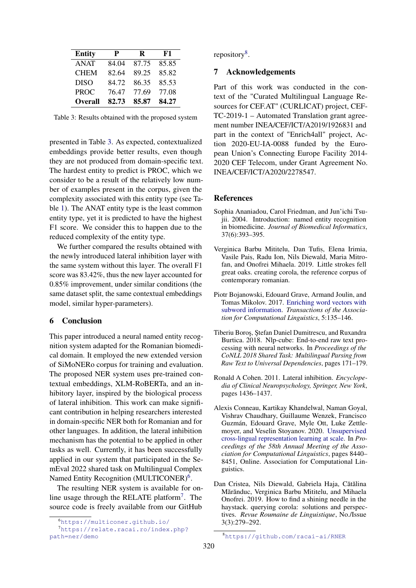<span id="page-4-8"></span>

| <b>Entity</b>  | P     | R     | F1    |
|----------------|-------|-------|-------|
| <b>ANAT</b>    | 84.04 | 87.75 | 85.85 |
| <b>CHEM</b>    | 82.64 | 89.25 | 85.82 |
| <b>DISO</b>    | 84.72 | 86.35 | 85.53 |
| <b>PROC</b>    | 76.47 | 77.69 | 77.08 |
| <b>Overall</b> | 82.73 | 85.87 | 84.27 |

Table 3: Results obtained with the proposed system

presented in Table [3.](#page-4-8) As expected, contextualized embeddings provide better results, even though they are not produced from domain-specific text. The hardest entity to predict is PROC, which we consider to be a result of the relatively low number of examples present in the corpus, given the complexity associated with this entity type (see Table [1\)](#page-1-2). The ANAT entity type is the least common entity type, yet it is predicted to have the highest F1 score. We consider this to happen due to the reduced complexity of the entity type.

We further compared the results obtained with the newly introduced lateral inhibition layer with the same system without this layer. The overall F1 score was 83.42%, thus the new layer accounted for 0.85% improvement, under similar conditions (the same dataset split, the same contextual embeddings model, similar hyper-parameters).

### <span id="page-4-3"></span>6 Conclusion

This paper introduced a neural named entity recognition system adapted for the Romanian biomedical domain. It employed the new extended version of SiMoNERo corpus for training and evaluation. The proposed NER system uses pre-trained contextual embeddings, XLM-RoBERTa, and an inhibitory layer, inspired by the biological process of lateral inhibition. This work can make significant contribution in helping researchers interested in domain-specific NER both for Romanian and for other languages. In addition, the lateral inhibition mechanism has the potential to be applied in other tasks as well. Currently, it has been successfully applied in our system that participated in the SemEval 2022 shared task on Multilingual Complex Named Entity Recognition (MULTICONER)<sup>[6](#page-4-9)</sup>.

The resulting NER system is available for on-line usage through the RELATE platform<sup>[7](#page-4-10)</sup>. The source code is freely available from our GitHub

repository<sup>[8](#page-4-11)</sup>.

### 7 Acknowledgements

Part of this work was conducted in the context of the "Curated Multilingual Language Resources for CEF.AT" (CURLICAT) project, CEF-TC-2019-1 – Automated Translation grant agreement number INEA/CEF/ICT/A2019/1926831 and part in the context of "Enrich4all" project, Action 2020-EU-IA-0088 funded by the European Union's Connecting Europe Facility 2014- 2020 CEF Telecom, under Grant Agreement No. INEA/CEF/ICT/A2020/2278547.

#### References

- <span id="page-4-0"></span>Sophia Ananiadou, Carol Friedman, and Jun'ichi Tsujii. 2004. Introduction: named entity recognition in biomedicine. *Journal of Biomedical Informatics*, 37(6):393–395.
- <span id="page-4-5"></span>Verginica Barbu Mititelu, Dan Tufis, , Elena Irimia, Vasile Pais, , Radu Ion, Nils Diewald, Maria Mitrofan, and Onofrei Mihaela. 2019. Little strokes fell great oaks. creating corola, the reference corpus of contemporary romanian.
- <span id="page-4-7"></span>Piotr Bojanowski, Edouard Grave, Armand Joulin, and Tomas Mikolov. 2017. [Enriching word vectors with](https://doi.org/10.1162/tacl_a_00051) [subword information.](https://doi.org/10.1162/tacl_a_00051) *Transactions of the Association for Computational Linguistics*, 5:135–146.
- <span id="page-4-4"></span>Tiberiu Boroş, Ştefan Daniel Dumitrescu, and Ruxandra Burtica. 2018. Nlp-cube: End-to-end raw text processing with neural networks. In *Proceedings of the CoNLL 2018 Shared Task: Multilingual Parsing from Raw Text to Universal Dependencies*, pages 171–179.
- <span id="page-4-2"></span>Ronald A Cohen. 2011. Lateral inhibition. *Encyclopedia of Clinical Neuropsychology, Springer, New York*, pages 1436–1437.
- <span id="page-4-1"></span>Alexis Conneau, Kartikay Khandelwal, Naman Goyal, Vishrav Chaudhary, Guillaume Wenzek, Francisco Guzmán, Edouard Grave, Myle Ott, Luke Zettlemoyer, and Veselin Stoyanov. 2020. [Unsupervised](https://doi.org/10.18653/v1/2020.acl-main.747) [cross-lingual representation learning at scale.](https://doi.org/10.18653/v1/2020.acl-main.747) In *Proceedings of the 58th Annual Meeting of the Association for Computational Linguistics*, pages 8440– 8451, Online. Association for Computational Linguistics.
- <span id="page-4-6"></span>Dan Cristea, Nils Diewald, Gabriela Haja, Cătălina Mărănduc, Verginica Barbu Mititelu, and Mihaela Onofrei. 2019. How to find a shining needle in the haystack. querying corola: solutions and perspectives. *Revue Roumaine de Linguistique*, No./Issue 3(3):279–292.

<span id="page-4-10"></span><span id="page-4-9"></span><sup>6</sup><https://multiconer.github.io/>

<sup>&</sup>lt;sup>7</sup>[https://relate.racai.ro/index.php?](https://relate.racai.ro/index.php?path=ner/demo) [path=ner/demo](https://relate.racai.ro/index.php?path=ner/demo)

<span id="page-4-11"></span><sup>8</sup><https://github.com/racai-ai/RNER>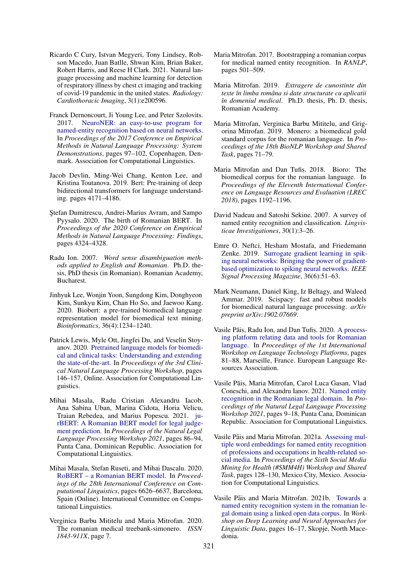- <span id="page-5-0"></span>Ricardo C Cury, Istvan Megyeri, Tony Lindsey, Robson Macedo, Juan Batlle, Shwan Kim, Brian Baker, Robert Harris, and Reese H Clark. 2021. Natural language processing and machine learning for detection of respiratory illness by chest ct imaging and tracking of covid-19 pandemic in the united states. *Radiology: Cardiothoracic Imaging*, 3(1):e200596.
- <span id="page-5-16"></span>Franck Dernoncourt, Ji Young Lee, and Peter Szolovits. 2017. [NeuroNER: an easy-to-use program for](https://doi.org/10.18653/v1/D17-2017) [named-entity recognition based on neural networks.](https://doi.org/10.18653/v1/D17-2017) In *Proceedings of the 2017 Conference on Empirical Methods in Natural Language Processing: System Demonstrations*, pages 97–102, Copenhagen, Denmark. Association for Computational Linguistics.
- <span id="page-5-3"></span>Jacob Devlin, Ming-Wei Chang, Kenton Lee, and Kristina Toutanova. 2019. Bert: Pre-training of deep bidirectional transformers for language understanding. pages 4171–4186.
- <span id="page-5-17"></span>¸Stefan Dumitrescu, Andrei-Marius Avram, and Sampo Pyysalo. 2020. The birth of Romanian BERT. In *Proceedings of the 2020 Conference on Empirical Methods in Natural Language Processing: Findings*, pages 4324–4328.
- <span id="page-5-9"></span>Radu Ion. 2007. *Word sense disambiguation methods applied to English and Romanian*. Ph.D. thesis, PhD thesis (in Romanian). Romanian Academy, Bucharest.
- <span id="page-5-4"></span>Jinhyuk Lee, Wonjin Yoon, Sungdong Kim, Donghyeon Kim, Sunkyu Kim, Chan Ho So, and Jaewoo Kang. 2020. Biobert: a pre-trained biomedical language representation model for biomedical text mining. *Bioinformatics*, 36(4):1234–1240.
- <span id="page-5-20"></span>Patrick Lewis, Myle Ott, Jingfei Du, and Veselin Stoyanov. 2020. [Pretrained language models for biomedi](https://doi.org/10.18653/v1/2020.clinicalnlp-1.17)[cal and clinical tasks: Understanding and extending](https://doi.org/10.18653/v1/2020.clinicalnlp-1.17) [the state-of-the-art.](https://doi.org/10.18653/v1/2020.clinicalnlp-1.17) In *Proceedings of the 3rd Clinical Natural Language Processing Workshop*, pages 146–157, Online. Association for Computational Linguistics.
- <span id="page-5-19"></span>Mihai Masala, Radu Cristian Alexandru Iacob, Ana Sabina Uban, Marina Cidota, Horia Velicu, Traian Rebedea, and Marius Popescu. 2021. [ju](https://aclanthology.org/2021.nllp-1.8)[rBERT: A Romanian BERT model for legal judge](https://aclanthology.org/2021.nllp-1.8)[ment prediction.](https://aclanthology.org/2021.nllp-1.8) In *Proceedings of the Natural Legal Language Processing Workshop 2021*, pages 86–94, Punta Cana, Dominican Republic. Association for Computational Linguistics.
- <span id="page-5-18"></span>Mihai Masala, Stefan Ruseti, and Mihai Dascalu. 2020. [RoBERT – a Romanian BERT model.](https://doi.org/10.18653/v1/2020.coling-main.581) In *Proceedings of the 28th International Conference on Computational Linguistics*, pages 6626–6637, Barcelona, Spain (Online). International Committee on Computational Linguistics.
- <span id="page-5-8"></span>Verginica Barbu Mititelu and Maria Mitrofan. 2020. The romanian medical treebank-simonero. *ISSN 1843-911X*, page 7.
- <span id="page-5-2"></span>Maria Mitrofan. 2017. Bootstrapping a romanian corpus for medical named entity recognition. In *RANLP*, pages 501–509.
- <span id="page-5-6"></span>Maria Mitrofan. 2019. *Extragere de cunostinte din texte în limba româna si date structurate cu aplicatii în domeniul medical*. Ph.D. thesis, Ph. D. thesis, Romanian Academy.
- <span id="page-5-7"></span>Maria Mitrofan, Verginica Barbu Mititelu, and Grigorina Mitrofan. 2019. Monero: a biomedical gold standard corpus for the romanian language. In *Proceedings of the 18th BioNLP Workshop and Shared Task*, pages 71–79.
- <span id="page-5-14"></span>Maria Mitrofan and Dan Tufis, . 2018. Bioro: The biomedical corpus for the romanian language. In *Proceedings of the Eleventh International Conference on Language Resources and Evaluation (LREC 2018)*, pages 1192–1196.
- <span id="page-5-1"></span>David Nadeau and Satoshi Sekine. 2007. A survey of named entity recognition and classification. *Lingvisticae Investigationes*, 30(1):3–26.
- <span id="page-5-10"></span>Emre O. Neftci, Hesham Mostafa, and Friedemann Zenke. 2019. [Surrogate gradient learning in spik](https://doi.org/10.1109/MSP.2019.2931595)[ing neural networks: Bringing the power of gradient](https://doi.org/10.1109/MSP.2019.2931595)[based optimization to spiking neural networks.](https://doi.org/10.1109/MSP.2019.2931595) *IEEE Signal Processing Magazine*, 36(6):51–63.
- <span id="page-5-5"></span>Mark Neumann, Daniel King, Iz Beltagy, and Waleed Ammar. 2019. Scispacy: fast and robust models for biomedical natural language processing. *arXiv preprint arXiv:1902.07669*.
- <span id="page-5-15"></span>Vasile Păiș, Radu Ion, and Dan Tufiș. 2020. [A process](https://aclanthology.org/2020.iwltp-1.13)[ing platform relating data and tools for Romanian](https://aclanthology.org/2020.iwltp-1.13) [language.](https://aclanthology.org/2020.iwltp-1.13) In *Proceedings of the 1st International Workshop on Language Technology Platforms*, pages 81–88, Marseille, France. European Language Resources Association.
- <span id="page-5-11"></span>Vasile Păiș, Maria Mitrofan, Carol Luca Gasan, Vlad Coneschi, and Alexandru Ianov. 2021. [Named entity](https://aclanthology.org/2021.nllp-1.2) [recognition in the Romanian legal domain.](https://aclanthology.org/2021.nllp-1.2) In *Proceedings of the Natural Legal Language Processing Workshop 2021*, pages 9–18, Punta Cana, Dominican Republic. Association for Computational Linguistics.
- <span id="page-5-13"></span>Vasile Păis and Maria Mitrofan. 2021a. [Assessing mul](https://www.aclweb.org/anthology/2021.smm4h-1.27)[tiple word embeddings for named entity recognition](https://www.aclweb.org/anthology/2021.smm4h-1.27) [of professions and occupations in health-related so](https://www.aclweb.org/anthology/2021.smm4h-1.27)[cial media.](https://www.aclweb.org/anthology/2021.smm4h-1.27) In *Proceedings of the Sixth Social Media Mining for Health (#SMM4H) Workshop and Shared Task*, pages 128–130, Mexico City, Mexico. Association for Computational Linguistics.
- <span id="page-5-12"></span>Vasile Păis and Maria Mitrofan. 2021b. [Towards a](https://www.juls.savba.sk/attachments/workshop_20210930_en/workshop_20210930_book_of_abstracts.pdf#page=16) [named entity recognition system in the romanian le](https://www.juls.savba.sk/attachments/workshop_20210930_en/workshop_20210930_book_of_abstracts.pdf#page=16)[gal domain using a linked open data corpus.](https://www.juls.savba.sk/attachments/workshop_20210930_en/workshop_20210930_book_of_abstracts.pdf#page=16) In *Workshop on Deep Learning and Neural Approaches for Linguistic Data*, pages 16–17, Skopje, North Macedonia.